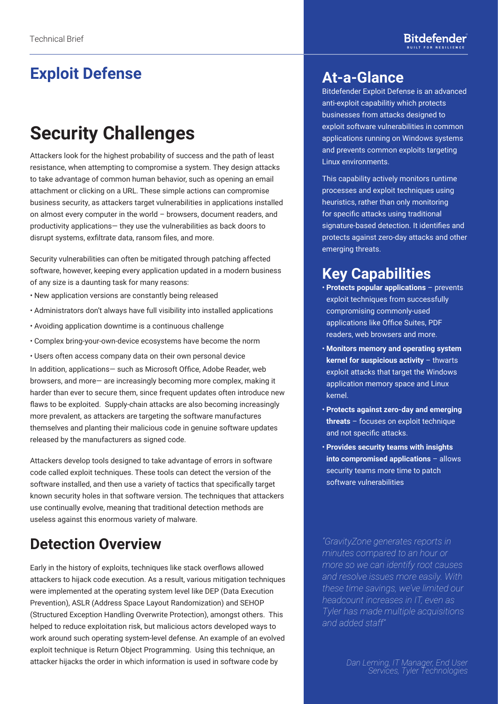# **Exploit Defense**

# **Security Challenges**

Attackers look for the highest probability of success and the path of least resistance, when attempting to compromise a system. They design attacks to take advantage of common human behavior, such as opening an email attachment or clicking on a URL. These simple actions can compromise business security, as attackers target vulnerabilities in applications installed on almost every computer in the world – browsers, document readers, and productivity applications— they use the vulnerabilities as back doors to disrupt systems, exfiltrate data, ransom files, and more.

Security vulnerabilities can often be mitigated through patching affected software, however, keeping every application updated in a modern business of any size is a daunting task for many reasons:

- New application versions are constantly being released
- Administrators don't always have full visibility into installed applications
- Avoiding application downtime is a continuous challenge
- Complex bring-your-own-device ecosystems have become the norm

• Users often access company data on their own personal device In addition, applications— such as Microsoft Office, Adobe Reader, web browsers, and more— are increasingly becoming more complex, making it harder than ever to secure them, since frequent updates often introduce new flaws to be exploited. Supply-chain attacks are also becoming increasingly more prevalent, as attackers are targeting the software manufactures themselves and planting their malicious code in genuine software updates released by the manufacturers as signed code.

Attackers develop tools designed to take advantage of errors in software code called exploit techniques. These tools can detect the version of the software installed, and then use a variety of tactics that specifically target known security holes in that software version. The techniques that attackers use continually evolve, meaning that traditional detection methods are useless against this enormous variety of malware.

## **Detection Overview**

Early in the history of exploits, techniques like stack overflows allowed attackers to hijack code execution. As a result, various mitigation techniques were implemented at the operating system level like DEP (Data Execution Prevention), ASLR (Address Space Layout Randomization) and SEHOP (Structured Exception Handling Overwrite Protection), amongst others. This helped to reduce exploitation risk, but malicious actors developed ways to work around such operating system-level defense. An example of an evolved exploit technique is Return Object Programming. Using this technique, an attacker hijacks the order in which information is used in software code by

### **At-a-Glance**

Bitdefender Exploit Defense is an advanced anti-exploit capabilitiy which protects businesses from attacks designed to exploit software vulnerabilities in common applications running on Windows systems and prevents common exploits targeting Linux environments.

This capability actively monitors runtime processes and exploit techniques using heuristics, rather than only monitoring for specific attacks using traditional signature-based detection. It identifies and protects against zero-day attacks and other emerging threats.

## **Key Capabilities**

- **Protects popular applications**  prevents exploit techniques from successfully compromising commonly-used applications like Office Suites, PDF readers, web browsers and more.
- **Monitors memory and operating system kernel for suspicious activity - thwarts** exploit attacks that target the Windows application memory space and Linux kernel.
- **Protects against zero-day and emerging threats** – focuses on exploit technique and not specific attacks.
- **Provides security teams with insights into compromised applications** – allows security teams more time to patch software vulnerabilities

*"GravityZone generates reports in minutes compared to an hour or more so we can identify root causes and resolve issues more easily. With these time savings, we've limited our headcount increases in IT, even as Tyler has made multiple acquisitions and added staff"*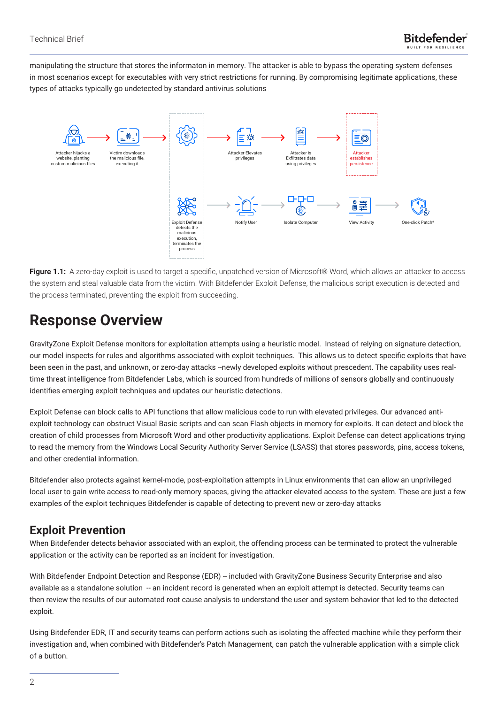manipulating the structure that stores the informaton in memory. The attacker is able to bypass the operating system defenses in most scenarios except for executables with very strict restrictions for running. By compromising legitimate applications, these types of attacks typically go undetected by standard antivirus solutions



**Figure 1.1:** A zero-day exploit is used to target a specific, unpatched version of Microsoft® Word, which allows an attacker to access the system and steal valuable data from the victim. With Bitdefender Exploit Defense, the malicious script execution is detected and the process terminated, preventing the exploit from succeeding.

## **Response Overview**

GravityZone Exploit Defense monitors for exploitation attempts using a heuristic model. Instead of relying on signature detection, our model inspects for rules and algorithms associated with exploit techniques. This allows us to detect specific exploits that have been seen in the past, and unknown, or zero-day attacks --newly developed exploits without prescedent. The capability uses realtime threat intelligence from Bitdefender Labs, which is sourced from hundreds of millions of sensors globally and continuously identifies emerging exploit techniques and updates our heuristic detections.

Exploit Defense can block calls to API functions that allow malicious code to run with elevated privileges. Our advanced antiexploit technology can obstruct Visual Basic scripts and can scan Flash objects in memory for exploits. It can detect and block the creation of child processes from Microsoft Word and other productivity applications. Exploit Defense can detect applications trying to read the memory from the Windows Local Security Authority Server Service (LSASS) that stores passwords, pins, access tokens, and other credential information.

Bitdefender also protects against kernel-mode, post-exploitation attempts in Linux environments that can allow an unprivileged local user to gain write access to read-only memory spaces, giving the attacker elevated access to the system. These are just a few examples of the exploit techniques Bitdefender is capable of detecting to prevent new or zero-day attacks

#### **Exploit Prevention**

When Bitdefender detects behavior associated with an exploit, the offending process can be terminated to protect the vulnerable application or the activity can be reported as an incident for investigation.

With Bitdefender Endpoint Detection and Response (EDR) -- included with GravityZone Business Security Enterprise and also available as a standalone solution -- an incident record is generated when an exploit attempt is detected. Security teams can then review the results of our automated root cause analysis to understand the user and system behavior that led to the detected exploit.

Using Bitdefender EDR, IT and security teams can perform actions such as isolating the affected machine while they perform their investigation and, when combined with Bitdefender's Patch Management, can patch the vulnerable application with a simple click of a button.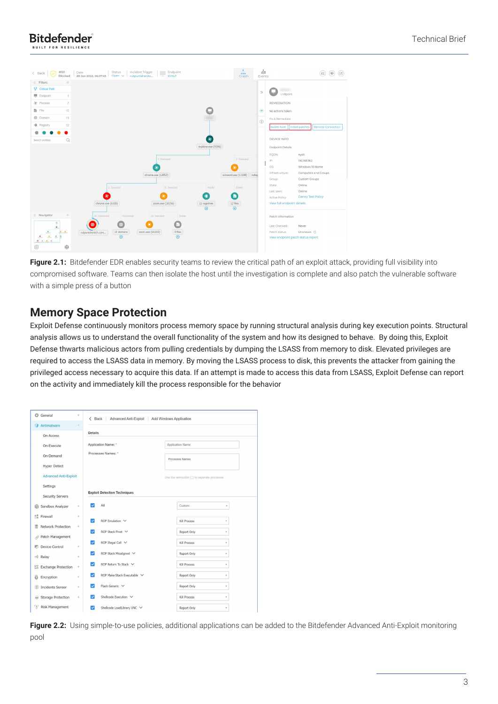



**Figure 2.1:** Bitdefender EDR enables security teams to review the critical path of an exploit attack, providing full visibility into compromised software. Teams can then isolate the host until the investigation is complete and also patch the vulnerable software with a simple press of a button

#### **Memory Space Protection**

Exploit Defense continuously monitors process memory space by running structural analysis during key execution points. Structural analysis allows us to understand the overall functionality of the system and how its designed to behave. By doing this, Exploit Defense thwarts malicious actors from pulling credentials by dumping the LSASS from memory to disk. Elevated privileges are required to access the LSASS data in memory. By moving the LSASS process to disk, this prevents the attacker from gaining the privileged access necessary to acquire this data. If an attempt is made to access this data from LSASS, Exploit Defense can report on the activity and immediately kill the process responsible for the behavior

| Antimalware<br><b>Details</b><br>On-Access<br>Application Name: *<br>Application Name<br>On-Execute<br>Processes Names: *<br>On-Demand<br>Processes Names<br><b>Hyper Detect</b><br><b>Advanced Anti-Exploit</b><br>Use the semicolon (;) to separate processes<br>Settings<br><b>Exploit Detection Techniques</b><br><b>Security Servers</b><br>All<br>Custom<br>Sandbox Analyzer<br>÷<br>÷<br>Firewall<br>÷<br>ROP Emulation V<br>Kill Process<br>٠<br>Network Protection<br>÷<br>ROP Stack Pivot V<br>Report Only<br>ر<br>٠<br>ROP Illegal Call V<br>✓<br>Kill Process<br>٠<br>Device Control<br>÷<br>ROP Stack Misaligned V<br>◡<br>Report Only<br>٠<br>÷<br>ROP Return To Stack V<br>Kill Process<br>✓<br>٠<br>÷<br>ROP Make Stack Executable V<br>Report Only<br>◡<br>٠<br>Encryption<br>÷<br>Flash Generic V<br>Report Only<br>◡<br>٠<br><b>Incidents Sensor</b><br>÷<br>Shellcode Execution V<br>Kill Process<br>$\div$<br>÷<br><b>Risk Management</b><br>Shellcode LoadLibrary UNC V<br>Report Only<br>ر<br>v | General                | ÷ | $\langle$ Back | Advanced Anti-Exploit Add Windows Application |
|------------------------------------------------------------------------------------------------------------------------------------------------------------------------------------------------------------------------------------------------------------------------------------------------------------------------------------------------------------------------------------------------------------------------------------------------------------------------------------------------------------------------------------------------------------------------------------------------------------------------------------------------------------------------------------------------------------------------------------------------------------------------------------------------------------------------------------------------------------------------------------------------------------------------------------------------------------------------------------------------------------------------|------------------------|---|----------------|-----------------------------------------------|
|                                                                                                                                                                                                                                                                                                                                                                                                                                                                                                                                                                                                                                                                                                                                                                                                                                                                                                                                                                                                                        | Q                      |   |                |                                               |
|                                                                                                                                                                                                                                                                                                                                                                                                                                                                                                                                                                                                                                                                                                                                                                                                                                                                                                                                                                                                                        |                        |   |                |                                               |
|                                                                                                                                                                                                                                                                                                                                                                                                                                                                                                                                                                                                                                                                                                                                                                                                                                                                                                                                                                                                                        |                        |   |                |                                               |
|                                                                                                                                                                                                                                                                                                                                                                                                                                                                                                                                                                                                                                                                                                                                                                                                                                                                                                                                                                                                                        |                        |   |                |                                               |
|                                                                                                                                                                                                                                                                                                                                                                                                                                                                                                                                                                                                                                                                                                                                                                                                                                                                                                                                                                                                                        |                        |   |                |                                               |
|                                                                                                                                                                                                                                                                                                                                                                                                                                                                                                                                                                                                                                                                                                                                                                                                                                                                                                                                                                                                                        |                        |   |                |                                               |
|                                                                                                                                                                                                                                                                                                                                                                                                                                                                                                                                                                                                                                                                                                                                                                                                                                                                                                                                                                                                                        |                        |   |                |                                               |
|                                                                                                                                                                                                                                                                                                                                                                                                                                                                                                                                                                                                                                                                                                                                                                                                                                                                                                                                                                                                                        |                        |   |                |                                               |
|                                                                                                                                                                                                                                                                                                                                                                                                                                                                                                                                                                                                                                                                                                                                                                                                                                                                                                                                                                                                                        | 的                      |   |                |                                               |
|                                                                                                                                                                                                                                                                                                                                                                                                                                                                                                                                                                                                                                                                                                                                                                                                                                                                                                                                                                                                                        | 結果                     |   |                |                                               |
|                                                                                                                                                                                                                                                                                                                                                                                                                                                                                                                                                                                                                                                                                                                                                                                                                                                                                                                                                                                                                        |                        |   |                |                                               |
|                                                                                                                                                                                                                                                                                                                                                                                                                                                                                                                                                                                                                                                                                                                                                                                                                                                                                                                                                                                                                        | Patch Management       |   |                |                                               |
|                                                                                                                                                                                                                                                                                                                                                                                                                                                                                                                                                                                                                                                                                                                                                                                                                                                                                                                                                                                                                        | ▫                      |   |                |                                               |
|                                                                                                                                                                                                                                                                                                                                                                                                                                                                                                                                                                                                                                                                                                                                                                                                                                                                                                                                                                                                                        | +1) Relay              |   |                |                                               |
|                                                                                                                                                                                                                                                                                                                                                                                                                                                                                                                                                                                                                                                                                                                                                                                                                                                                                                                                                                                                                        | ES Exchange Protection |   |                |                                               |
|                                                                                                                                                                                                                                                                                                                                                                                                                                                                                                                                                                                                                                                                                                                                                                                                                                                                                                                                                                                                                        | 6                      |   |                |                                               |
|                                                                                                                                                                                                                                                                                                                                                                                                                                                                                                                                                                                                                                                                                                                                                                                                                                                                                                                                                                                                                        | $\circ$                |   |                |                                               |
|                                                                                                                                                                                                                                                                                                                                                                                                                                                                                                                                                                                                                                                                                                                                                                                                                                                                                                                                                                                                                        | Storage Protection     |   |                |                                               |
|                                                                                                                                                                                                                                                                                                                                                                                                                                                                                                                                                                                                                                                                                                                                                                                                                                                                                                                                                                                                                        | 7/7                    |   |                |                                               |

Figure 2.2: Using simple-to-use policies, additional applications can be added to the Bitdefender Advanced Anti-Exploit monitoring pool